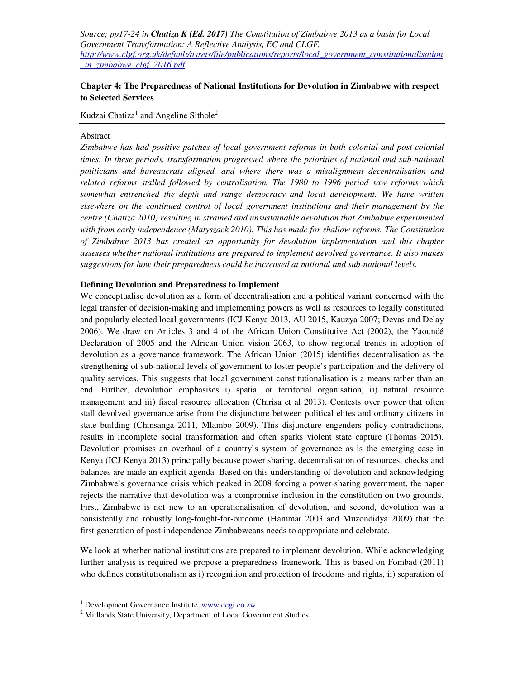# **Chapter 4: The Preparedness of National Institutions for Devolution in Zimbabwe with respect to Selected Services**

Kudzai Chatiza<sup>1</sup> and Angeline Sithole<sup>2</sup>

## Abstract

*Zimbabwe has had positive patches of local government reforms in both colonial and post-colonial times. In these periods, transformation progressed where the priorities of national and sub-national politicians and bureaucrats aligned, and where there was a misalignment decentralisation and related reforms stalled followed by centralisation. The 1980 to 1996 period saw reforms which somewhat entrenched the depth and range democracy and local development. We have written elsewhere on the continued control of local government institutions and their management by the centre (Chatiza 2010) resulting in strained and unsustainable devolution that Zimbabwe experimented with from early independence (Matyszack 2010). This has made for shallow reforms. The Constitution of Zimbabwe 2013 has created an opportunity for devolution implementation and this chapter assesses whether national institutions are prepared to implement devolved governance. It also makes suggestions for how their preparedness could be increased at national and sub-national levels.* 

#### **Defining Devolution and Preparedness to Implement**

We conceptualise devolution as a form of decentralisation and a political variant concerned with the legal transfer of decision-making and implementing powers as well as resources to legally constituted and popularly elected local governments (ICJ Kenya 2013, AU 2015, Kauzya 2007; Devas and Delay 2006). We draw on Articles 3 and 4 of the African Union Constitutive Act (2002), the Yaoundé Declaration of 2005 and the African Union vision 2063, to show regional trends in adoption of devolution as a governance framework. The African Union (2015) identifies decentralisation as the strengthening of sub-national levels of government to foster people's participation and the delivery of quality services. This suggests that local government constitutionalisation is a means rather than an end. Further, devolution emphasises i) spatial or territorial organisation, ii) natural resource management and iii) fiscal resource allocation (Chirisa et al 2013). Contests over power that often stall devolved governance arise from the disjuncture between political elites and ordinary citizens in state building (Chinsanga 2011, Mlambo 2009). This disjuncture engenders policy contradictions, results in incomplete social transformation and often sparks violent state capture (Thomas 2015). Devolution promises an overhaul of a country's system of governance as is the emerging case in Kenya (ICJ Kenya 2013) principally because power sharing, decentralisation of resources, checks and balances are made an explicit agenda. Based on this understanding of devolution and acknowledging Zimbabwe's governance crisis which peaked in 2008 forcing a power-sharing government, the paper rejects the narrative that devolution was a compromise inclusion in the constitution on two grounds. First, Zimbabwe is not new to an operationalisation of devolution, and second, devolution was a consistently and robustly long-fought-for-outcome (Hammar 2003 and Muzondidya 2009) that the first generation of post-independence Zimbabweans needs to appropriate and celebrate.

We look at whether national institutions are prepared to implement devolution. While acknowledging further analysis is required we propose a preparedness framework. This is based on Fombad (2011) who defines constitutionalism as i) recognition and protection of freedoms and rights, ii) separation of

 $\overline{a}$ 

<sup>&</sup>lt;sup>1</sup> Development Governance Institute, www.degi.co.zw

<sup>&</sup>lt;sup>2</sup> Midlands State University, Department of Local Government Studies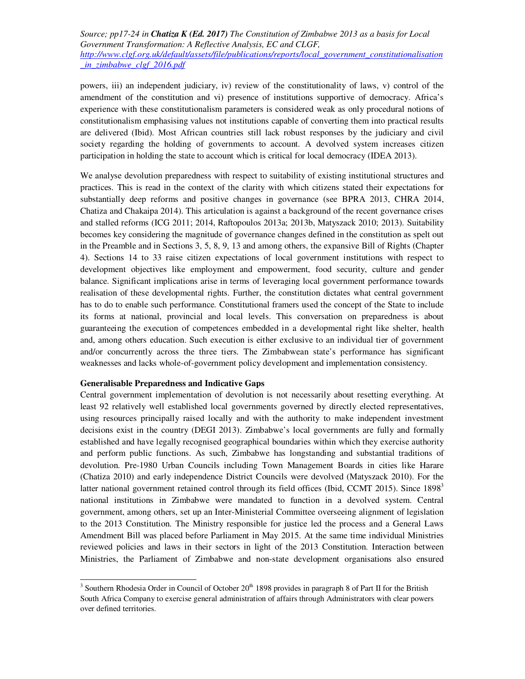powers, iii) an independent judiciary, iv) review of the constitutionality of laws, v) control of the amendment of the constitution and vi) presence of institutions supportive of democracy. Africa's experience with these constitutionalism parameters is considered weak as only procedural notions of constitutionalism emphasising values not institutions capable of converting them into practical results are delivered (Ibid). Most African countries still lack robust responses by the judiciary and civil society regarding the holding of governments to account. A devolved system increases citizen participation in holding the state to account which is critical for local democracy (IDEA 2013).

We analyse devolution preparedness with respect to suitability of existing institutional structures and practices. This is read in the context of the clarity with which citizens stated their expectations for substantially deep reforms and positive changes in governance (see BPRA 2013, CHRA 2014, Chatiza and Chakaipa 2014). This articulation is against a background of the recent governance crises and stalled reforms (ICG 2011; 2014, Raftopoulos 2013a; 2013b, Matyszack 2010; 2013). Suitability becomes key considering the magnitude of governance changes defined in the constitution as spelt out in the Preamble and in Sections 3, 5, 8, 9, 13 and among others, the expansive Bill of Rights (Chapter 4). Sections 14 to 33 raise citizen expectations of local government institutions with respect to development objectives like employment and empowerment, food security, culture and gender balance. Significant implications arise in terms of leveraging local government performance towards realisation of these developmental rights. Further, the constitution dictates what central government has to do to enable such performance. Constitutional framers used the concept of the State to include its forms at national, provincial and local levels. This conversation on preparedness is about guaranteeing the execution of competences embedded in a developmental right like shelter, health and, among others education. Such execution is either exclusive to an individual tier of government and/or concurrently across the three tiers. The Zimbabwean state's performance has significant weaknesses and lacks whole-of-government policy development and implementation consistency.

## **Generalisable Preparedness and Indicative Gaps**

 $\overline{a}$ 

Central government implementation of devolution is not necessarily about resetting everything. At least 92 relatively well established local governments governed by directly elected representatives, using resources principally raised locally and with the authority to make independent investment decisions exist in the country (DEGI 2013). Zimbabwe's local governments are fully and formally established and have legally recognised geographical boundaries within which they exercise authority and perform public functions. As such, Zimbabwe has longstanding and substantial traditions of devolution. Pre-1980 Urban Councils including Town Management Boards in cities like Harare (Chatiza 2010) and early independence District Councils were devolved (Matyszack 2010). For the latter national government retained control through its field offices (Ibid, CCMT 2015). Since  $1898<sup>3</sup>$ national institutions in Zimbabwe were mandated to function in a devolved system. Central government, among others, set up an Inter-Ministerial Committee overseeing alignment of legislation to the 2013 Constitution. The Ministry responsible for justice led the process and a General Laws Amendment Bill was placed before Parliament in May 2015. At the same time individual Ministries reviewed policies and laws in their sectors in light of the 2013 Constitution. Interaction between Ministries, the Parliament of Zimbabwe and non-state development organisations also ensured

<sup>&</sup>lt;sup>3</sup> Southern Rhodesia Order in Council of October  $20<sup>th</sup>$  1898 provides in paragraph 8 of Part II for the British South Africa Company to exercise general administration of affairs through Administrators with clear powers over defined territories.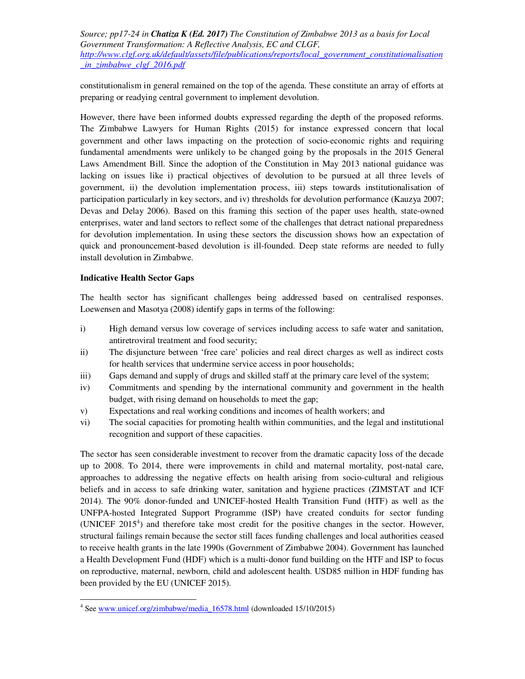constitutionalism in general remained on the top of the agenda. These constitute an array of efforts at preparing or readying central government to implement devolution.

However, there have been informed doubts expressed regarding the depth of the proposed reforms. The Zimbabwe Lawyers for Human Rights (2015) for instance expressed concern that local government and other laws impacting on the protection of socio-economic rights and requiring fundamental amendments were unlikely to be changed going by the proposals in the 2015 General Laws Amendment Bill. Since the adoption of the Constitution in May 2013 national guidance was lacking on issues like i) practical objectives of devolution to be pursued at all three levels of government, ii) the devolution implementation process, iii) steps towards institutionalisation of participation particularly in key sectors, and iv) thresholds for devolution performance (Kauzya 2007; Devas and Delay 2006). Based on this framing this section of the paper uses health, state-owned enterprises, water and land sectors to reflect some of the challenges that detract national preparedness for devolution implementation. In using these sectors the discussion shows how an expectation of quick and pronouncement-based devolution is ill-founded. Deep state reforms are needed to fully install devolution in Zimbabwe.

## **Indicative Health Sector Gaps**

<u>.</u>

The health sector has significant challenges being addressed based on centralised responses. Loewensen and Masotya (2008) identify gaps in terms of the following:

- i) High demand versus low coverage of services including access to safe water and sanitation, antiretroviral treatment and food security;
- ii) The disjuncture between 'free care' policies and real direct charges as well as indirect costs for health services that undermine service access in poor households;
- iii) Gaps demand and supply of drugs and skilled staff at the primary care level of the system;
- iv) Commitments and spending by the international community and government in the health budget, with rising demand on households to meet the gap;
- v) Expectations and real working conditions and incomes of health workers; and
- vi) The social capacities for promoting health within communities, and the legal and institutional recognition and support of these capacities.

The sector has seen considerable investment to recover from the dramatic capacity loss of the decade up to 2008. To 2014, there were improvements in child and maternal mortality, post-natal care, approaches to addressing the negative effects on health arising from socio-cultural and religious beliefs and in access to safe drinking water, sanitation and hygiene practices (ZIMSTAT and ICF 2014). The 90% donor-funded and UNICEF-hosted Health Transition Fund (HTF) as well as the UNFPA-hosted Integrated Support Programme (ISP) have created conduits for sector funding (UNICEF  $2015<sup>4</sup>$ ) and therefore take most credit for the positive changes in the sector. However, structural failings remain because the sector still faces funding challenges and local authorities ceased to receive health grants in the late 1990s (Government of Zimbabwe 2004). Government has launched a Health Development Fund (HDF) which is a multi-donor fund building on the HTF and ISP to focus on reproductive, maternal, newborn, child and adolescent health. USD85 million in HDF funding has been provided by the EU (UNICEF 2015).

<sup>&</sup>lt;sup>4</sup> See www.unicef.org/zimbabwe/media\_16578.html (downloaded 15/10/2015)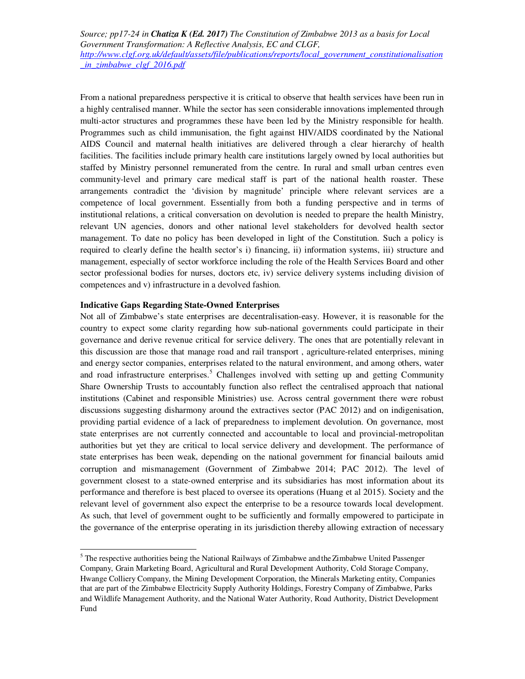From a national preparedness perspective it is critical to observe that health services have been run in a highly centralised manner. While the sector has seen considerable innovations implemented through multi-actor structures and programmes these have been led by the Ministry responsible for health. Programmes such as child immunisation, the fight against HIV/AIDS coordinated by the National AIDS Council and maternal health initiatives are delivered through a clear hierarchy of health facilities. The facilities include primary health care institutions largely owned by local authorities but staffed by Ministry personnel remunerated from the centre. In rural and small urban centres even community-level and primary care medical staff is part of the national health roaster. These arrangements contradict the 'division by magnitude' principle where relevant services are a competence of local government. Essentially from both a funding perspective and in terms of institutional relations, a critical conversation on devolution is needed to prepare the health Ministry, relevant UN agencies, donors and other national level stakeholders for devolved health sector management. To date no policy has been developed in light of the Constitution. Such a policy is required to clearly define the health sector's i) financing, ii) information systems, iii) structure and management, especially of sector workforce including the role of the Health Services Board and other sector professional bodies for nurses, doctors etc, iv) service delivery systems including division of competences and v) infrastructure in a devolved fashion.

## **Indicative Gaps Regarding State-Owned Enterprises**

 $\overline{a}$ 

Not all of Zimbabwe's state enterprises are decentralisation-easy. However, it is reasonable for the country to expect some clarity regarding how sub-national governments could participate in their governance and derive revenue critical for service delivery. The ones that are potentially relevant in this discussion are those that manage road and rail transport , agriculture-related enterprises, mining and energy sector companies, enterprises related to the natural environment, and among others, water and road infrastructure enterprises.<sup>5</sup> Challenges involved with setting up and getting Community Share Ownership Trusts to accountably function also reflect the centralised approach that national institutions (Cabinet and responsible Ministries) use. Across central government there were robust discussions suggesting disharmony around the extractives sector (PAC 2012) and on indigenisation, providing partial evidence of a lack of preparedness to implement devolution. On governance, most state enterprises are not currently connected and accountable to local and provincial-metropolitan authorities but yet they are critical to local service delivery and development. The performance of state enterprises has been weak, depending on the national government for financial bailouts amid corruption and mismanagement (Government of Zimbabwe 2014; PAC 2012). The level of government closest to a state-owned enterprise and its subsidiaries has most information about its performance and therefore is best placed to oversee its operations (Huang et al 2015). Society and the relevant level of government also expect the enterprise to be a resource towards local development. As such, that level of government ought to be sufficiently and formally empowered to participate in the governance of the enterprise operating in its jurisdiction thereby allowing extraction of necessary

<sup>&</sup>lt;sup>5</sup> The respective authorities being the National Railways of Zimbabwe and the Zimbabwe United Passenger Company, Grain Marketing Board, Agricultural and Rural Development Authority, Cold Storage Company, Hwange Colliery Company, the Mining Development Corporation, the Minerals Marketing entity, Companies that are part of the Zimbabwe Electricity Supply Authority Holdings, Forestry Company of Zimbabwe, Parks and Wildlife Management Authority, and the National Water Authority, Road Authority, District Development Fund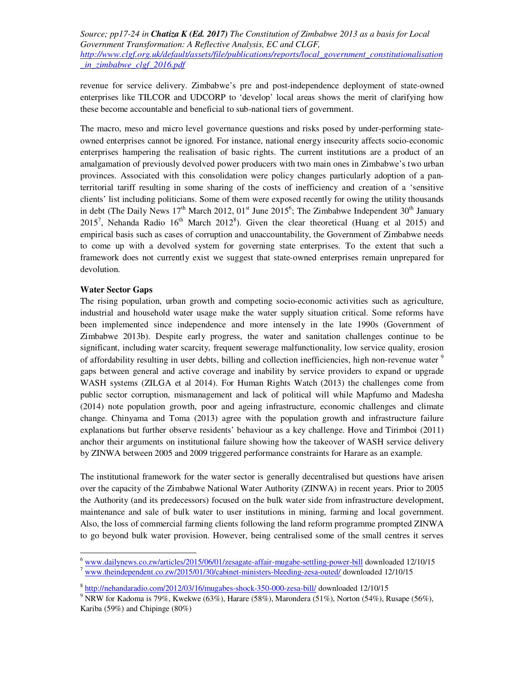revenue for service delivery. Zimbabwe's pre and post-independence deployment of state-owned enterprises like TILCOR and UDCORP to 'develop' local areas shows the merit of clarifying how these become accountable and beneficial to sub-national tiers of government.

The macro, meso and micro level governance questions and risks posed by under-performing stateowned enterprises cannot be ignored. For instance, national energy insecurity affects socio-economic enterprises hampering the realisation of basic rights. The current institutions are a product of an amalgamation of previously devolved power producers with two main ones in Zimbabwe's two urban provinces. Associated with this consolidation were policy changes particularly adoption of a panterritorial tariff resulting in some sharing of the costs of inefficiency and creation of a 'sensitive clients' list including politicians. Some of them were exposed recently for owing the utility thousands in debt (The Daily News  $17<sup>th</sup>$  March 2012, 01<sup>st</sup> June 2015<sup>6</sup>; The Zimbabwe Independent 30<sup>th</sup> January 2015<sup>7</sup>, Nehanda Radio 16<sup>th</sup> March 2012<sup>8</sup>). Given the clear theoretical (Huang et al 2015) and empirical basis such as cases of corruption and unaccountability, the Government of Zimbabwe needs to come up with a devolved system for governing state enterprises. To the extent that such a framework does not currently exist we suggest that state-owned enterprises remain unprepared for devolution.

## **Water Sector Gaps**

.

The rising population, urban growth and competing socio-economic activities such as agriculture, industrial and household water usage make the water supply situation critical. Some reforms have been implemented since independence and more intensely in the late 1990s (Government of Zimbabwe 2013b). Despite early progress, the water and sanitation challenges continue to be significant, including water scarcity, frequent sewerage malfunctionality, low service quality, erosion of affordability resulting in user debts, billing and collection inefficiencies, high non-revenue water <sup>9</sup> gaps between general and active coverage and inability by service providers to expand or upgrade WASH systems (ZILGA et al 2014). For Human Rights Watch (2013) the challenges come from public sector corruption, mismanagement and lack of political will while Mapfumo and Madesha (2014) note population growth, poor and ageing infrastructure, economic challenges and climate change. Chinyama and Toma (2013) agree with the population growth and infrastructure failure explanations but further observe residents' behaviour as a key challenge. Hove and Tirimboi (2011) anchor their arguments on institutional failure showing how the takeover of WASH service delivery by ZINWA between 2005 and 2009 triggered performance constraints for Harare as an example.

The institutional framework for the water sector is generally decentralised but questions have arisen over the capacity of the Zimbabwe National Water Authority (ZINWA) in recent years. Prior to 2005 the Authority (and its predecessors) focused on the bulk water side from infrastructure development, maintenance and sale of bulk water to user institutions in mining, farming and local government. Also, the loss of commercial farming clients following the land reform programme prompted ZINWA to go beyond bulk water provision. However, being centralised some of the small centres it serves

<sup>&</sup>lt;sup>6</sup> www.dailynews.co.zw/articles/2015/06/01/zesagate-affair-mugabe-settling-power-bill downloaded 12/10/15

<sup>7</sup> www.theindependent.co.zw/2015/01/30/cabinet-ministers-bleeding-zesa-outed/ downloaded 12/10/15

<sup>&</sup>lt;sup>8</sup> http://nehandaradio.com/2012/03/16/mugabes-shock-350-000-zesa-bill/ downloaded 12/10/15

<sup>&</sup>lt;sup>9</sup> NRW for Kadoma is 79%, Kwekwe (63%), Harare (58%), Marondera (51%), Norton (54%), Rusape (56%), Kariba (59%) and Chipinge (80%)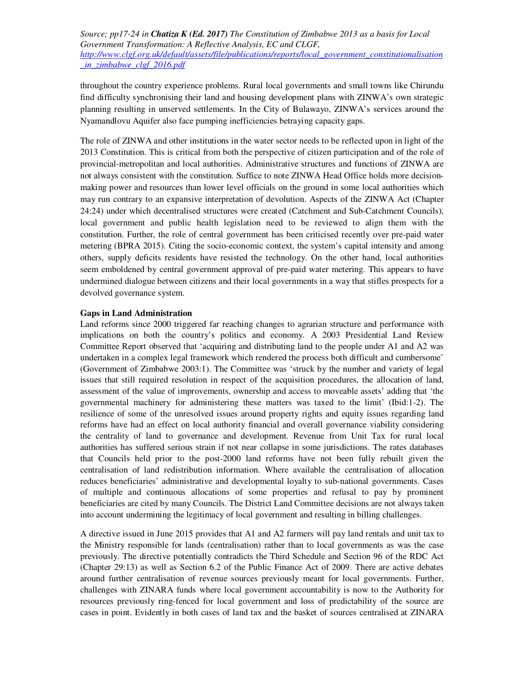throughout the country experience problems. Rural local governments and small towns like Chirundu find difficulty synchronising their land and housing development plans with ZINWA's own strategic planning resulting in unserved settlements. In the City of Bulawayo, ZINWA's services around the Nyamandlovu Aquifer also face pumping inefficiencies betraying capacity gaps.

The role of ZINWA and other institutions in the water sector needs to be reflected upon in light of the 2013 Constitution. This is critical from both the perspective of citizen participation and of the role of provincial-metropolitan and local authorities. Administrative structures and functions of ZINWA are not always consistent with the constitution. Suffice to note ZINWA Head Office holds more decisionmaking power and resources than lower level officials on the ground in some local authorities which may run contrary to an expansive interpretation of devolution. Aspects of the ZINWA Act (Chapter 24:24) under which decentralised structures were created (Catchment and Sub-Catchment Councils), local government and public health legislation need to be reviewed to align them with the constitution. Further, the role of central government has been criticised recently over pre-paid water metering (BPRA 2015). Citing the socio-economic context, the system's capital intensity and among others, supply deficits residents have resisted the technology. On the other hand, local authorities seem emboldened by central government approval of pre-paid water metering. This appears to have undermined dialogue between citizens and their local governments in a way that stifles prospects for a devolved governance system.

## **Gaps in Land Administration**

Land reforms since 2000 triggered far reaching changes to agrarian structure and performance with implications on both the country's politics and economy. A 2003 Presidential Land Review Committee Report observed that 'acquiring and distributing land to the people under A1 and A2 was undertaken in a complex legal framework which rendered the process both difficult and cumbersome' (Government of Zimbabwe 2003:1). The Committee was 'struck by the number and variety of legal issues that still required resolution in respect of the acquisition procedures, the allocation of land, assessment of the value of improvements, ownership and access to moveable assets' adding that 'the governmental machinery for administering these matters was taxed to the limit' (Ibid:1-2). The resilience of some of the unresolved issues around property rights and equity issues regarding land reforms have had an effect on local authority financial and overall governance viability considering the centrality of land to governance and development. Revenue from Unit Tax for rural local authorities has suffered serious strain if not near collapse in some jurisdictions. The rates databases that Councils held prior to the post-2000 land reforms have not been fully rebuilt given the centralisation of land redistribution information. Where available the centralisation of allocation reduces beneficiaries' administrative and developmental loyalty to sub-national governments. Cases of multiple and continuous allocations of some properties and refusal to pay by prominent beneficiaries are cited by many Councils. The District Land Committee decisions are not always taken into account undermining the legitimacy of local government and resulting in billing challenges.

A directive issued in June 2015 provides that A1 and A2 farmers will pay land rentals and unit tax to the Ministry responsible for lands (centralisation) rather than to local governments as was the case previously. The directive potentially contradicts the Third Schedule and Section 96 of the RDC Act (Chapter 29:13) as well as Section 6.2 of the Public Finance Act of 2009. There are active debates around further centralisation of revenue sources previously meant for local governments. Further, challenges with ZINARA funds where local government accountability is now to the Authority for resources previously ring-fenced for local government and loss of predictability of the source are cases in point. Evidently in both cases of land tax and the basket of sources centralised at ZINARA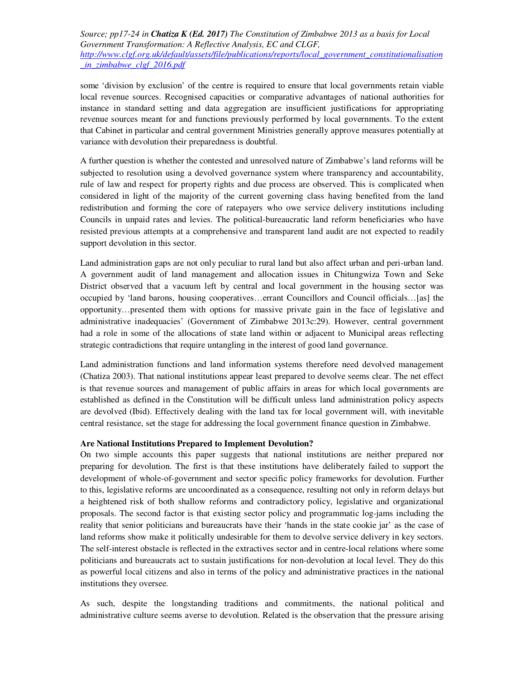some 'division by exclusion' of the centre is required to ensure that local governments retain viable local revenue sources. Recognised capacities or comparative advantages of national authorities for instance in standard setting and data aggregation are insufficient justifications for appropriating revenue sources meant for and functions previously performed by local governments. To the extent that Cabinet in particular and central government Ministries generally approve measures potentially at variance with devolution their preparedness is doubtful.

A further question is whether the contested and unresolved nature of Zimbabwe's land reforms will be subjected to resolution using a devolved governance system where transparency and accountability, rule of law and respect for property rights and due process are observed. This is complicated when considered in light of the majority of the current governing class having benefited from the land redistribution and forming the core of ratepayers who owe service delivery institutions including Councils in unpaid rates and levies. The political-bureaucratic land reform beneficiaries who have resisted previous attempts at a comprehensive and transparent land audit are not expected to readily support devolution in this sector.

Land administration gaps are not only peculiar to rural land but also affect urban and peri-urban land. A government audit of land management and allocation issues in Chitungwiza Town and Seke District observed that a vacuum left by central and local government in the housing sector was occupied by 'land barons, housing cooperatives…errant Councillors and Council officials…[as] the opportunity…presented them with options for massive private gain in the face of legislative and administrative inadequacies' (Government of Zimbabwe 2013c:29). However, central government had a role in some of the allocations of state land within or adjacent to Municipal areas reflecting strategic contradictions that require untangling in the interest of good land governance.

Land administration functions and land information systems therefore need devolved management (Chatiza 2003). That national institutions appear least prepared to devolve seems clear. The net effect is that revenue sources and management of public affairs in areas for which local governments are established as defined in the Constitution will be difficult unless land administration policy aspects are devolved (Ibid). Effectively dealing with the land tax for local government will, with inevitable central resistance, set the stage for addressing the local government finance question in Zimbabwe.

## **Are National Institutions Prepared to Implement Devolution?**

On two simple accounts this paper suggests that national institutions are neither prepared nor preparing for devolution. The first is that these institutions have deliberately failed to support the development of whole-of-government and sector specific policy frameworks for devolution. Further to this, legislative reforms are uncoordinated as a consequence, resulting not only in reform delays but a heightened risk of both shallow reforms and contradictory policy, legislative and organizational proposals. The second factor is that existing sector policy and programmatic log-jams including the reality that senior politicians and bureaucrats have their 'hands in the state cookie jar' as the case of land reforms show make it politically undesirable for them to devolve service delivery in key sectors. The self-interest obstacle is reflected in the extractives sector and in centre-local relations where some politicians and bureaucrats act to sustain justifications for non-devolution at local level. They do this as powerful local citizens and also in terms of the policy and administrative practices in the national institutions they oversee.

As such, despite the longstanding traditions and commitments, the national political and administrative culture seems averse to devolution. Related is the observation that the pressure arising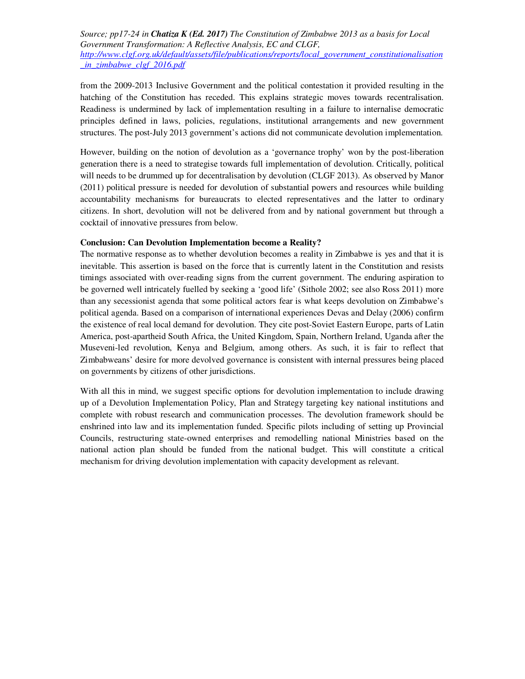from the 2009-2013 Inclusive Government and the political contestation it provided resulting in the hatching of the Constitution has receded. This explains strategic moves towards recentralisation. Readiness is undermined by lack of implementation resulting in a failure to internalise democratic principles defined in laws, policies, regulations, institutional arrangements and new government structures. The post-July 2013 government's actions did not communicate devolution implementation.

However, building on the notion of devolution as a 'governance trophy' won by the post-liberation generation there is a need to strategise towards full implementation of devolution. Critically, political will needs to be drummed up for decentralisation by devolution (CLGF 2013). As observed by Manor (2011) political pressure is needed for devolution of substantial powers and resources while building accountability mechanisms for bureaucrats to elected representatives and the latter to ordinary citizens. In short, devolution will not be delivered from and by national government but through a cocktail of innovative pressures from below.

## **Conclusion: Can Devolution Implementation become a Reality?**

The normative response as to whether devolution becomes a reality in Zimbabwe is yes and that it is inevitable. This assertion is based on the force that is currently latent in the Constitution and resists timings associated with over-reading signs from the current government. The enduring aspiration to be governed well intricately fuelled by seeking a 'good life' (Sithole 2002; see also Ross 2011) more than any secessionist agenda that some political actors fear is what keeps devolution on Zimbabwe's political agenda. Based on a comparison of international experiences Devas and Delay (2006) confirm the existence of real local demand for devolution. They cite post-Soviet Eastern Europe, parts of Latin America, post-apartheid South Africa, the United Kingdom, Spain, Northern Ireland, Uganda after the Museveni-led revolution, Kenya and Belgium, among others. As such, it is fair to reflect that Zimbabweans' desire for more devolved governance is consistent with internal pressures being placed on governments by citizens of other jurisdictions.

With all this in mind, we suggest specific options for devolution implementation to include drawing up of a Devolution Implementation Policy, Plan and Strategy targeting key national institutions and complete with robust research and communication processes. The devolution framework should be enshrined into law and its implementation funded. Specific pilots including of setting up Provincial Councils, restructuring state-owned enterprises and remodelling national Ministries based on the national action plan should be funded from the national budget. This will constitute a critical mechanism for driving devolution implementation with capacity development as relevant.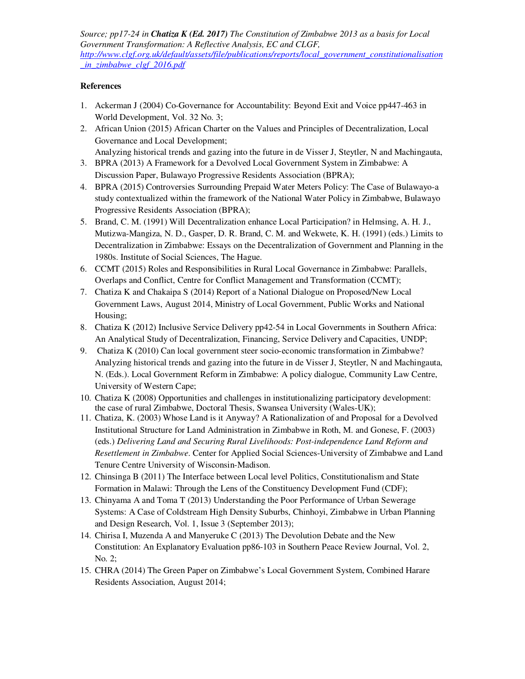# **References**

- 1. Ackerman J (2004) Co-Governance for Accountability: Beyond Exit and Voice pp447-463 in World Development, Vol. 32 No. 3;
- 2. African Union (2015) African Charter on the Values and Principles of Decentralization, Local Governance and Local Development;
- Analyzing historical trends and gazing into the future in de Visser J, Steytler, N and Machingauta, 3. BPRA (2013) A Framework for a Devolved Local Government System in Zimbabwe: A
- Discussion Paper, Bulawayo Progressive Residents Association (BPRA);
- 4. BPRA (2015) Controversies Surrounding Prepaid Water Meters Policy: The Case of Bulawayo-a study contextualized within the framework of the National Water Policy in Zimbabwe, Bulawayo Progressive Residents Association (BPRA);
- 5. Brand, C. M. (1991) Will Decentralization enhance Local Participation? in Helmsing, A. H. J., Mutizwa-Mangiza, N. D., Gasper, D. R. Brand, C. M. and Wekwete, K. H. (1991) (eds.) Limits to Decentralization in Zimbabwe: Essays on the Decentralization of Government and Planning in the 1980s. Institute of Social Sciences, The Hague.
- 6. CCMT (2015) Roles and Responsibilities in Rural Local Governance in Zimbabwe: Parallels, Overlaps and Conflict, Centre for Conflict Management and Transformation (CCMT);
- 7. Chatiza K and Chakaipa S (2014) Report of a National Dialogue on Proposed/New Local Government Laws, August 2014, Ministry of Local Government, Public Works and National Housing;
- 8. Chatiza K (2012) Inclusive Service Delivery pp42-54 in Local Governments in Southern Africa: An Analytical Study of Decentralization, Financing, Service Delivery and Capacities, UNDP;
- 9. Chatiza K (2010) Can local government steer socio-economic transformation in Zimbabwe? Analyzing historical trends and gazing into the future in de Visser J, Steytler, N and Machingauta, N. (Eds.). Local Government Reform in Zimbabwe: A policy dialogue, Community Law Centre, University of Western Cape;
- 10. Chatiza K (2008) Opportunities and challenges in institutionalizing participatory development: the case of rural Zimbabwe, Doctoral Thesis, Swansea University (Wales-UK);
- 11. Chatiza, K. (2003) Whose Land is it Anyway? A Rationalization of and Proposal for a Devolved Institutional Structure for Land Administration in Zimbabwe in Roth, M. and Gonese, F. (2003) (eds.) *Delivering Land and Securing Rural Livelihoods: Post-independence Land Reform and Resettlement in Zimbabwe*. Center for Applied Social Sciences-University of Zimbabwe and Land Tenure Centre University of Wisconsin-Madison.
- 12. Chinsinga B (2011) The Interface between Local level Politics, Constitutionalism and State Formation in Malawi: Through the Lens of the Constituency Development Fund (CDF);
- 13. Chinyama A and Toma T (2013) Understanding the Poor Performance of Urban Sewerage Systems: A Case of Coldstream High Density Suburbs, Chinhoyi, Zimbabwe in Urban Planning and Design Research, Vol. 1, Issue 3 (September 2013);
- 14. Chirisa I, Muzenda A and Manyeruke C (2013) The Devolution Debate and the New Constitution: An Explanatory Evaluation pp86-103 in Southern Peace Review Journal, Vol. 2, No. 2;
- 15. CHRA (2014) The Green Paper on Zimbabwe's Local Government System, Combined Harare Residents Association, August 2014;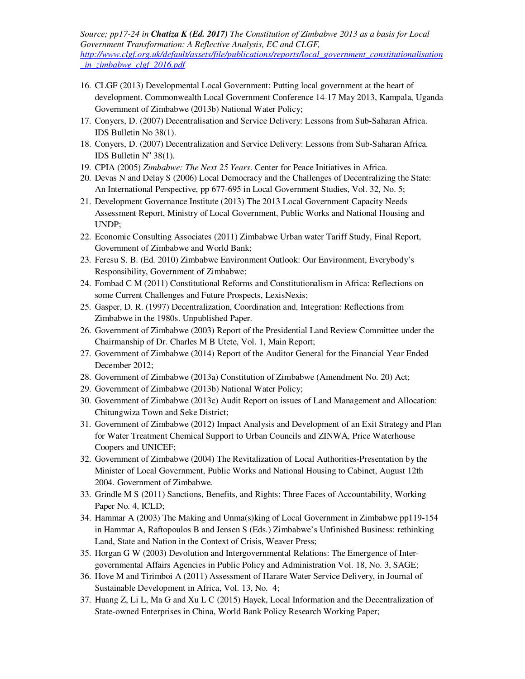- 16. CLGF (2013) Developmental Local Government: Putting local government at the heart of development. Commonwealth Local Government Conference 14-17 May 2013, Kampala, Uganda Government of Zimbabwe (2013b) National Water Policy;
- 17. Conyers, D. (2007) Decentralisation and Service Delivery: Lessons from Sub-Saharan Africa. IDS Bulletin No 38(1).
- 18. Conyers, D. (2007) Decentralization and Service Delivery: Lessons from Sub-Saharan Africa. IDS Bulletin  $N^{\circ}$  38(1).
- 19. CPIA (2005) *Zimbabwe: The Next 25 Years*. Center for Peace Initiatives in Africa.
- 20. Devas N and Delay S (2006) Local Democracy and the Challenges of Decentralizing the State: An International Perspective, pp 677-695 in Local Government Studies, Vol. 32, No. 5;
- 21. Development Governance Institute (2013) The 2013 Local Government Capacity Needs Assessment Report, Ministry of Local Government, Public Works and National Housing and UNDP;
- 22. Economic Consulting Associates (2011) Zimbabwe Urban water Tariff Study, Final Report, Government of Zimbabwe and World Bank;
- 23. Feresu S. B. (Ed. 2010) Zimbabwe Environment Outlook: Our Environment, Everybody's Responsibility, Government of Zimbabwe;
- 24. Fombad C M (2011) Constitutional Reforms and Constitutionalism in Africa: Reflections on some Current Challenges and Future Prospects, LexisNexis;
- 25. Gasper, D. R. (1997) Decentralization, Coordination and, Integration: Reflections from Zimbabwe in the 1980s. Unpublished Paper.
- 26. Government of Zimbabwe (2003) Report of the Presidential Land Review Committee under the Chairmanship of Dr. Charles M B Utete, Vol. 1, Main Report;
- 27. Government of Zimbabwe (2014) Report of the Auditor General for the Financial Year Ended December 2012;
- 28. Government of Zimbabwe (2013a) Constitution of Zimbabwe (Amendment No. 20) Act;
- 29. Government of Zimbabwe (2013b) National Water Policy;
- 30. Government of Zimbabwe (2013c) Audit Report on issues of Land Management and Allocation: Chitungwiza Town and Seke District;
- 31. Government of Zimbabwe (2012) Impact Analysis and Development of an Exit Strategy and Plan for Water Treatment Chemical Support to Urban Councils and ZINWA, Price Waterhouse Coopers and UNICEF;
- 32. Government of Zimbabwe (2004) The Revitalization of Local Authorities-Presentation by the Minister of Local Government, Public Works and National Housing to Cabinet, August 12th 2004. Government of Zimbabwe.
- 33. Grindle M S (2011) Sanctions, Benefits, and Rights: Three Faces of Accountability, Working Paper No. 4, ICLD;
- 34. Hammar A (2003) The Making and Unma(s)king of Local Government in Zimbabwe pp119-154 in Hammar A, Raftopoulos B and Jensen S (Eds.) Zimbabwe's Unfinished Business: rethinking Land, State and Nation in the Context of Crisis, Weaver Press;
- 35. Horgan G W (2003) Devolution and Intergovernmental Relations: The Emergence of Intergovernmental Affairs Agencies in Public Policy and Administration Vol. 18, No. 3, SAGE;
- 36. Hove M and Tirimboi A (2011) Assessment of Harare Water Service Delivery, in Journal of Sustainable Development in Africa, Vol. 13, No. 4;
- 37. Huang Z, Li L, Ma G and Xu L C (2015) Hayek, Local Information and the Decentralization of State-owned Enterprises in China, World Bank Policy Research Working Paper;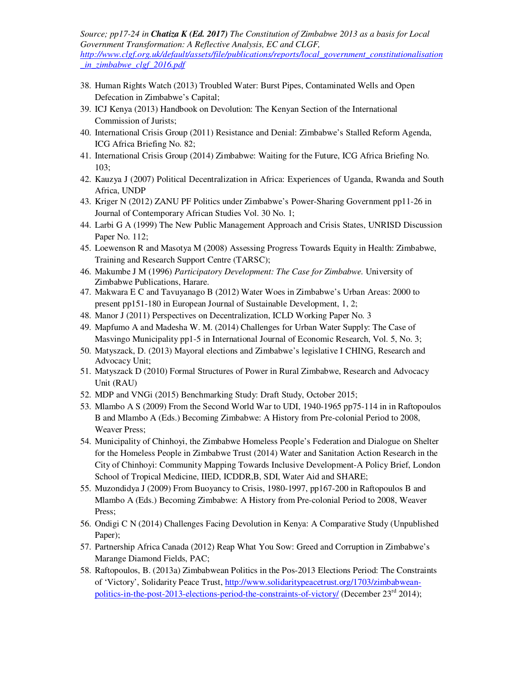- 38. Human Rights Watch (2013) Troubled Water: Burst Pipes, Contaminated Wells and Open Defecation in Zimbabwe's Capital;
- 39. ICJ Kenya (2013) Handbook on Devolution: The Kenyan Section of the International Commission of Jurists;
- 40. International Crisis Group (2011) Resistance and Denial: Zimbabwe's Stalled Reform Agenda, ICG Africa Briefing No. 82;
- 41. International Crisis Group (2014) Zimbabwe: Waiting for the Future, ICG Africa Briefing No. 103;
- 42. Kauzya J (2007) Political Decentralization in Africa: Experiences of Uganda, Rwanda and South Africa, UNDP
- 43. Kriger N (2012) ZANU PF Politics under Zimbabwe's Power-Sharing Government pp11-26 in Journal of Contemporary African Studies Vol. 30 No. 1;
- 44. Larbi G A (1999) The New Public Management Approach and Crisis States, UNRISD Discussion Paper No. 112;
- 45. Loewenson R and Masotya M (2008) Assessing Progress Towards Equity in Health: Zimbabwe, Training and Research Support Centre (TARSC);
- 46. Makumbe J M (1996) *Participatory Development: The Case for Zimbabwe.* University of Zimbabwe Publications, Harare.
- 47. Makwara E C and Tavuyanago B (2012) Water Woes in Zimbabwe's Urban Areas: 2000 to present pp151-180 in European Journal of Sustainable Development, 1, 2;
- 48. Manor J (2011) Perspectives on Decentralization, ICLD Working Paper No. 3
- 49. Mapfumo A and Madesha W. M. (2014) Challenges for Urban Water Supply: The Case of Masvingo Municipality pp1-5 in International Journal of Economic Research, Vol. 5, No. 3;
- 50. Matyszack, D. (2013) Mayoral elections and Zimbabwe's legislative I CHING, Research and Advocacy Unit;
- 51. Matyszack D (2010) Formal Structures of Power in Rural Zimbabwe, Research and Advocacy Unit (RAU)
- 52. MDP and VNGi (2015) Benchmarking Study: Draft Study, October 2015;
- 53. Mlambo A S (2009) From the Second World War to UDI, 1940-1965 pp75-114 in in Raftopoulos B and Mlambo A (Eds.) Becoming Zimbabwe: A History from Pre-colonial Period to 2008, Weaver Press;
- 54. Municipality of Chinhoyi, the Zimbabwe Homeless People's Federation and Dialogue on Shelter for the Homeless People in Zimbabwe Trust (2014) Water and Sanitation Action Research in the City of Chinhoyi: Community Mapping Towards Inclusive Development-A Policy Brief, London School of Tropical Medicine, IIED, ICDDR,B, SDI, Water Aid and SHARE;
- 55. Muzondidya J (2009) From Buoyancy to Crisis, 1980-1997, pp167-200 in Raftopoulos B and Mlambo A (Eds.) Becoming Zimbabwe: A History from Pre-colonial Period to 2008, Weaver Press;
- 56. Ondigi C N (2014) Challenges Facing Devolution in Kenya: A Comparative Study (Unpublished Paper);
- 57. Partnership Africa Canada (2012) Reap What You Sow: Greed and Corruption in Zimbabwe's Marange Diamond Fields, PAC;
- 58. Raftopoulos, B. (2013a) Zimbabwean Politics in the Pos-2013 Elections Period: The Constraints of 'Victory', Solidarity Peace Trust, http://www.solidaritypeacetrust.org/1703/zimbabweanpolitics-in-the-post-2013-elections-period-the-constraints-of-victory/ (December 23<sup>rd</sup> 2014):